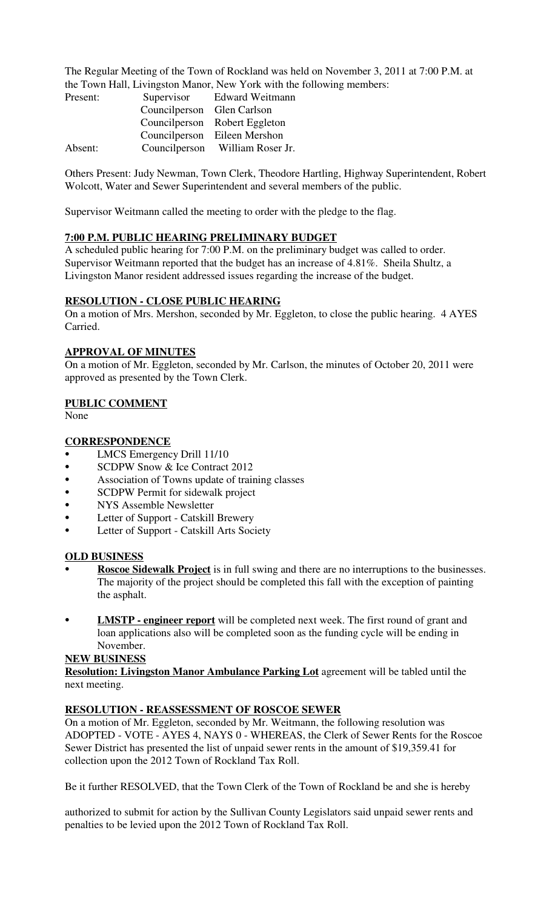The Regular Meeting of the Town of Rockland was held on November 3, 2011 at 7:00 P.M. at the Town Hall, Livingston Manor, New York with the following members:

| Present: |                            | Supervisor Edward Weitmann      |
|----------|----------------------------|---------------------------------|
|          | Councilperson Glen Carlson |                                 |
|          |                            | Councilperson Robert Eggleton   |
|          |                            | Councilperson Eileen Mershon    |
| Absent:  |                            | Councilperson William Roser Jr. |

Others Present: Judy Newman, Town Clerk, Theodore Hartling, Highway Superintendent, Robert Wolcott, Water and Sewer Superintendent and several members of the public.

Supervisor Weitmann called the meeting to order with the pledge to the flag.

## **7:00 P.M. PUBLIC HEARING PRELIMINARY BUDGET**

A scheduled public hearing for 7:00 P.M. on the preliminary budget was called to order. Supervisor Weitmann reported that the budget has an increase of 4.81%. Sheila Shultz, a Livingston Manor resident addressed issues regarding the increase of the budget.

#### **RESOLUTION - CLOSE PUBLIC HEARING**

On a motion of Mrs. Mershon, seconded by Mr. Eggleton, to close the public hearing. 4 AYES Carried.

#### **APPROVAL OF MINUTES**

On a motion of Mr. Eggleton, seconded by Mr. Carlson, the minutes of October 20, 2011 were approved as presented by the Town Clerk.

## **PUBLIC COMMENT**

None

#### **CORRESPONDENCE**

- LMCS Emergency Drill 11/10
- SCDPW Snow & Ice Contract 2012
- Association of Towns update of training classes
- SCDPW Permit for sidewalk project
- NYS Assemble Newsletter
- Letter of Support Catskill Brewery
- Letter of Support Catskill Arts Society

## **OLD BUSINESS**

- **Roscoe Sidewalk Project** is in full swing and there are no interruptions to the businesses. The majority of the project should be completed this fall with the exception of painting the asphalt.
- **LMSTP** engineer report will be completed next week. The first round of grant and loan applications also will be completed soon as the funding cycle will be ending in November.

#### **NEW BUSINESS**

**Resolution: Livingston Manor Ambulance Parking Lot** agreement will be tabled until the next meeting.

## **RESOLUTION - REASSESSMENT OF ROSCOE SEWER**

On a motion of Mr. Eggleton, seconded by Mr. Weitmann, the following resolution was ADOPTED - VOTE - AYES 4, NAYS 0 - WHEREAS, the Clerk of Sewer Rents for the Roscoe Sewer District has presented the list of unpaid sewer rents in the amount of \$19,359.41 for collection upon the 2012 Town of Rockland Tax Roll.

Be it further RESOLVED, that the Town Clerk of the Town of Rockland be and she is hereby

authorized to submit for action by the Sullivan County Legislators said unpaid sewer rents and penalties to be levied upon the 2012 Town of Rockland Tax Roll.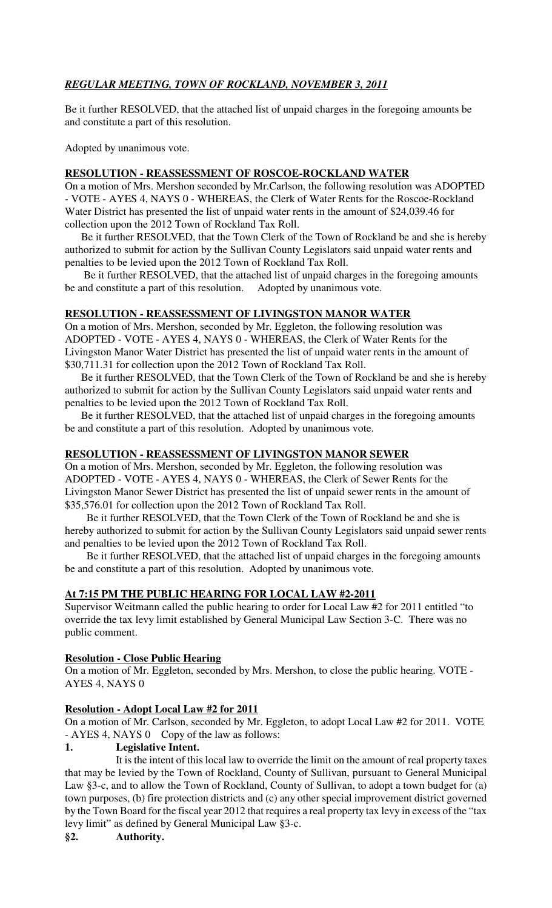# *REGULAR MEETING, TOWN OF ROCKLAND, NOVEMBER 3, 2011*

Be it further RESOLVED, that the attached list of unpaid charges in the foregoing amounts be and constitute a part of this resolution.

Adopted by unanimous vote.

# **RESOLUTION - REASSESSMENT OF ROSCOE-ROCKLAND WATER**

On a motion of Mrs. Mershon seconded by Mr.Carlson, the following resolution was ADOPTED - VOTE - AYES 4, NAYS 0 - WHEREAS, the Clerk of Water Rents for the Roscoe-Rockland Water District has presented the list of unpaid water rents in the amount of \$24,039.46 for collection upon the 2012 Town of Rockland Tax Roll.

 Be it further RESOLVED, that the Town Clerk of the Town of Rockland be and she is hereby authorized to submit for action by the Sullivan County Legislators said unpaid water rents and penalties to be levied upon the 2012 Town of Rockland Tax Roll.

 Be it further RESOLVED, that the attached list of unpaid charges in the foregoing amounts be and constitute a part of this resolution. Adopted by unanimous vote.

# **RESOLUTION - REASSESSMENT OF LIVINGSTON MANOR WATER**

On a motion of Mrs. Mershon, seconded by Mr. Eggleton, the following resolution was ADOPTED - VOTE - AYES 4, NAYS 0 - WHEREAS, the Clerk of Water Rents for the Livingston Manor Water District has presented the list of unpaid water rents in the amount of \$30,711.31 for collection upon the 2012 Town of Rockland Tax Roll.

 Be it further RESOLVED, that the Town Clerk of the Town of Rockland be and she is hereby authorized to submit for action by the Sullivan County Legislators said unpaid water rents and penalties to be levied upon the 2012 Town of Rockland Tax Roll.

 Be it further RESOLVED, that the attached list of unpaid charges in the foregoing amounts be and constitute a part of this resolution. Adopted by unanimous vote.

# **RESOLUTION - REASSESSMENT OF LIVINGSTON MANOR SEWER**

On a motion of Mrs. Mershon, seconded by Mr. Eggleton, the following resolution was ADOPTED - VOTE - AYES 4, NAYS 0 - WHEREAS, the Clerk of Sewer Rents for the Livingston Manor Sewer District has presented the list of unpaid sewer rents in the amount of \$35,576.01 for collection upon the 2012 Town of Rockland Tax Roll.

 Be it further RESOLVED, that the Town Clerk of the Town of Rockland be and she is hereby authorized to submit for action by the Sullivan County Legislators said unpaid sewer rents and penalties to be levied upon the 2012 Town of Rockland Tax Roll.

 Be it further RESOLVED, that the attached list of unpaid charges in the foregoing amounts be and constitute a part of this resolution. Adopted by unanimous vote.

# **At 7:15 PM THE PUBLIC HEARING FOR LOCAL LAW #2-2011**

Supervisor Weitmann called the public hearing to order for Local Law #2 for 2011 entitled "to override the tax levy limit established by General Municipal Law Section 3-C. There was no public comment.

## **Resolution - Close Public Hearing**

On a motion of Mr. Eggleton, seconded by Mrs. Mershon, to close the public hearing. VOTE - AYES 4, NAYS 0

## **Resolution - Adopt Local Law #2 for 2011**

On a motion of Mr. Carlson, seconded by Mr. Eggleton, to adopt Local Law #2 for 2011. VOTE - AYES 4, NAYS 0 Copy of the law as follows:

## **1. Legislative Intent.**

It is the intent of this local law to override the limit on the amount of real property taxes that may be levied by the Town of Rockland, County of Sullivan, pursuant to General Municipal Law §3-c, and to allow the Town of Rockland, County of Sullivan, to adopt a town budget for (a) town purposes, (b) fire protection districts and (c) any other special improvement district governed by the Town Board for the fiscal year 2012 that requires a real property tax levy in excess of the "tax levy limit" as defined by General Municipal Law §3-c.

## **§2. Authority.**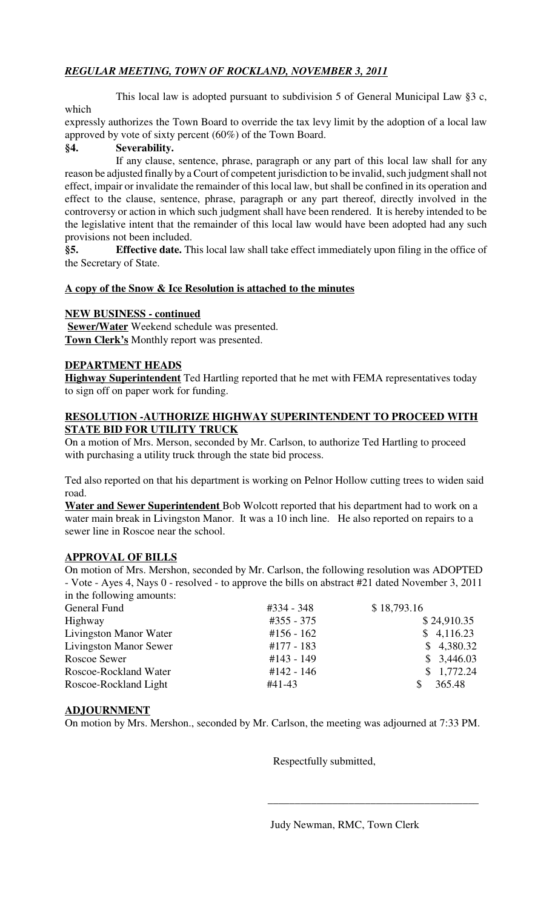# *REGULAR MEETING, TOWN OF ROCKLAND, NOVEMBER 3, 2011*

This local law is adopted pursuant to subdivision 5 of General Municipal Law §3 c,

expressly authorizes the Town Board to override the tax levy limit by the adoption of a local law approved by vote of sixty percent (60%) of the Town Board.

**§4. Severability.** 

which

If any clause, sentence, phrase, paragraph or any part of this local law shall for any reason be adjusted finally by a Court of competent jurisdiction to be invalid, such judgment shall not effect, impair or invalidate the remainder of this local law, but shall be confined in its operation and effect to the clause, sentence, phrase, paragraph or any part thereof, directly involved in the controversy or action in which such judgment shall have been rendered. It is hereby intended to be the legislative intent that the remainder of this local law would have been adopted had any such provisions not been included.

**§5. Effective date.** This local law shall take effect immediately upon filing in the office of the Secretary of State.

## **A copy of the Snow & Ice Resolution is attached to the minutes**

## **NEW BUSINESS - continued**

**Sewer/Water** Weekend schedule was presented. **Town Clerk's** Monthly report was presented.

#### **DEPARTMENT HEADS**

**Highway Superintendent** Ted Hartling reported that he met with FEMA representatives today to sign off on paper work for funding.

## **RESOLUTION -AUTHORIZE HIGHWAY SUPERINTENDENT TO PROCEED WITH STATE BID FOR UTILITY TRUCK**

On a motion of Mrs. Merson, seconded by Mr. Carlson, to authorize Ted Hartling to proceed with purchasing a utility truck through the state bid process.

Ted also reported on that his department is working on Pelnor Hollow cutting trees to widen said road.

**Water and Sewer Superintendent** Bob Wolcott reported that his department had to work on a water main break in Livingston Manor. It was a 10 inch line. He also reported on repairs to a sewer line in Roscoe near the school.

## **APPROVAL OF BILLS**

On motion of Mrs. Mershon, seconded by Mr. Carlson, the following resolution was ADOPTED - Vote - Ayes 4, Nays 0 - resolved - to approve the bills on abstract #21 dated November 3, 2011 in the following amounts:

| General Fund                  | #334 - 348    | \$18,793.16 |
|-------------------------------|---------------|-------------|
| Highway                       | #355 - 375    | \$24,910.35 |
| Livingston Manor Water        | $#156 - 162$  | \$4,116.23  |
| <b>Livingston Manor Sewer</b> | #177 - 183    | \$4,380.32  |
| Roscoe Sewer                  | $\#143 - 149$ | \$3,446.03  |
| Roscoe-Rockland Water         | $#142 - 146$  | \$1,772.24  |
| Roscoe-Rockland Light         | #41-43        | 365.48      |
|                               |               |             |

## **ADJOURNMENT**

On motion by Mrs. Mershon., seconded by Mr. Carlson, the meeting was adjourned at 7:33 PM.

 $\overline{\phantom{a}}$  , and the contract of the contract of the contract of the contract of the contract of the contract of the contract of the contract of the contract of the contract of the contract of the contract of the contrac

Respectfully submitted,